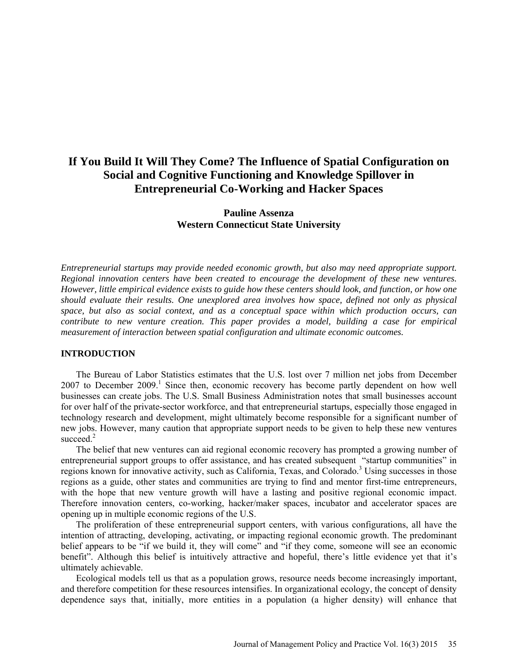# **If You Build It Will They Come? The Influence of Spatial Configuration on Social and Cognitive Functioning and Knowledge Spillover in Entrepreneurial Co-Working and Hacker Spaces**

# **Pauline Assenza Western Connecticut State University**

*Entrepreneurial startups may provide needed economic growth, but also may need appropriate support. Regional innovation centers have been created to encourage the development of these new ventures. However, little empirical evidence exists to guide how these centers should look, and function, or how one should evaluate their results. One unexplored area involves how space, defined not only as physical space, but also as social context, and as a conceptual space within which production occurs, can contribute to new venture creation. This paper provides a model, building a case for empirical measurement of interaction between spatial configuration and ultimate economic outcomes.*

## **INTRODUCTION**

The Bureau of Labor Statistics estimates that the U.S. lost over 7 million net jobs from December  $2007$  to December  $2009$ .<sup>1</sup> Since then, economic recovery has become partly dependent on how well businesses can create jobs. The U.S. Small Business Administration notes that small businesses account for over half of the private-sector workforce, and that entrepreneurial startups, especially those engaged in technology research and development, might ultimately become responsible for a significant number of new jobs. However, many caution that appropriate support needs to be given to help these new ventures succeed.<sup>2</sup>

The belief that new ventures can aid regional economic recovery has prompted a growing number of entrepreneurial support groups to offer assistance, and has created subsequent "startup communities" in regions known for innovative activity, such as California, Texas, and Colorado.<sup>3</sup> Using successes in those regions as a guide, other states and communities are trying to find and mentor first-time entrepreneurs, with the hope that new venture growth will have a lasting and positive regional economic impact. Therefore innovation centers, co-working, hacker/maker spaces, incubator and accelerator spaces are opening up in multiple economic regions of the U.S.

The proliferation of these entrepreneurial support centers, with various configurations, all have the intention of attracting, developing, activating, or impacting regional economic growth. The predominant belief appears to be "if we build it, they will come" and "if they come, someone will see an economic benefit". Although this belief is intuitively attractive and hopeful, there's little evidence yet that it's ultimately achievable.

Ecological models tell us that as a population grows, resource needs become increasingly important, and therefore competition for these resources intensifies. In organizational ecology, the concept of density dependence says that, initially, more entities in a population (a higher density) will enhance that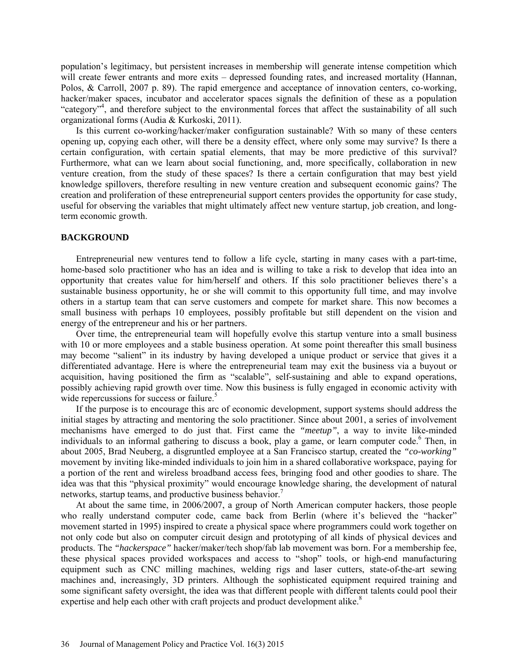population's legitimacy, but persistent increases in membership will generate intense competition which will create fewer entrants and more exits – depressed founding rates, and increased mortality (Hannan, Polos, & Carroll, 2007 p. 89). The rapid emergence and acceptance of innovation centers, co-working, hacker/maker spaces, incubator and accelerator spaces signals the definition of these as a population "category"<sup>4</sup>, and therefore subject to the environmental forces that affect the sustainability of all such organizational forms (Audia & Kurkoski, 2011).

Is this current co-working/hacker/maker configuration sustainable? With so many of these centers opening up, copying each other, will there be a density effect, where only some may survive? Is there a certain configuration, with certain spatial elements, that may be more predictive of this survival? Furthermore, what can we learn about social functioning, and, more specifically, collaboration in new venture creation, from the study of these spaces? Is there a certain configuration that may best yield knowledge spillovers, therefore resulting in new venture creation and subsequent economic gains? The creation and proliferation of these entrepreneurial support centers provides the opportunity for case study, useful for observing the variables that might ultimately affect new venture startup, job creation, and longterm economic growth.

#### **BACKGROUND**

Entrepreneurial new ventures tend to follow a life cycle, starting in many cases with a part-time, home-based solo practitioner who has an idea and is willing to take a risk to develop that idea into an opportunity that creates value for him/herself and others. If this solo practitioner believes there's a sustainable business opportunity, he or she will commit to this opportunity full time, and may involve others in a startup team that can serve customers and compete for market share. This now becomes a small business with perhaps 10 employees, possibly profitable but still dependent on the vision and energy of the entrepreneur and his or her partners.

Over time, the entrepreneurial team will hopefully evolve this startup venture into a small business with 10 or more employees and a stable business operation. At some point thereafter this small business may become "salient" in its industry by having developed a unique product or service that gives it a differentiated advantage. Here is where the entrepreneurial team may exit the business via a buyout or acquisition, having positioned the firm as "scalable", self-sustaining and able to expand operations, possibly achieving rapid growth over time. Now this business is fully engaged in economic activity with wide repercussions for success or failure.<sup>5</sup>

If the purpose is to encourage this arc of economic development, support systems should address the initial stages by attracting and mentoring the solo practitioner. Since about 2001, a series of involvement mechanisms have emerged to do just that. First came the *"meetup"*, a way to invite like-minded individuals to an informal gathering to discuss a book, play a game, or learn computer code.<sup>6</sup> Then, in about 2005, Brad Neuberg, a disgruntled employee at a San Francisco startup, created the *"co-working"* movement by inviting like-minded individuals to join him in a shared collaborative workspace, paying for a portion of the rent and wireless broadband access fees, bringing food and other goodies to share. The idea was that this "physical proximity" would encourage knowledge sharing, the development of natural networks, startup teams, and productive business behavior.<sup>7</sup>

At about the same time, in 2006/2007, a group of North American computer hackers, those people who really understand computer code, came back from Berlin (where it's believed the "hacker" movement started in 1995) inspired to create a physical space where programmers could work together on not only code but also on computer circuit design and prototyping of all kinds of physical devices and products. The *"hackerspace"* hacker/maker/tech shop/fab lab movement was born. For a membership fee, these physical spaces provided workspaces and access to "shop" tools, or high-end manufacturing equipment such as CNC milling machines, welding rigs and laser cutters, state-of-the-art sewing machines and, increasingly, 3D printers. Although the sophisticated equipment required training and some significant safety oversight, the idea was that different people with different talents could pool their expertise and help each other with craft projects and product development alike.<sup>8</sup>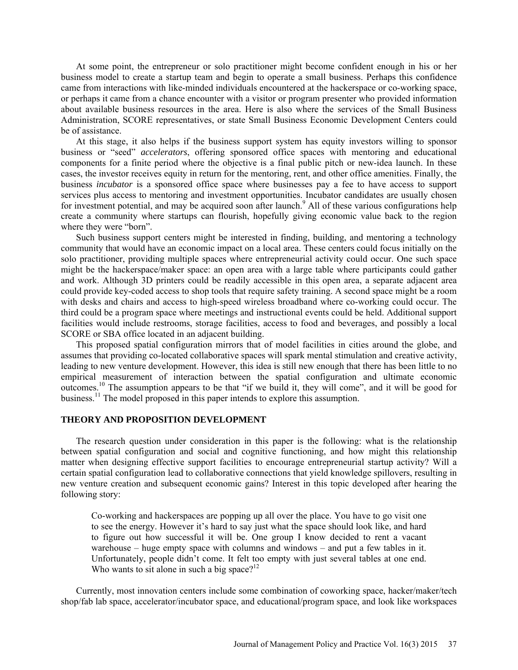At some point, the entrepreneur or solo practitioner might become confident enough in his or her business model to create a startup team and begin to operate a small business. Perhaps this confidence came from interactions with like-minded individuals encountered at the hackerspace or co-working space, or perhaps it came from a chance encounter with a visitor or program presenter who provided information about available business resources in the area. Here is also where the services of the Small Business Administration, SCORE representatives, or state Small Business Economic Development Centers could be of assistance.

At this stage, it also helps if the business support system has equity investors willing to sponsor business or "seed" *accelerators*, offering sponsored office spaces with mentoring and educational components for a finite period where the objective is a final public pitch or new-idea launch. In these cases, the investor receives equity in return for the mentoring, rent, and other office amenities. Finally, the business *incubator* is a sponsored office space where businesses pay a fee to have access to support services plus access to mentoring and investment opportunities. Incubator candidates are usually chosen for investment potential, and may be acquired soon after launch.<sup>9</sup> All of these various configurations help create a community where startups can flourish, hopefully giving economic value back to the region where they were "born".

Such business support centers might be interested in finding, building, and mentoring a technology community that would have an economic impact on a local area. These centers could focus initially on the solo practitioner, providing multiple spaces where entrepreneurial activity could occur. One such space might be the hackerspace/maker space: an open area with a large table where participants could gather and work. Although 3D printers could be readily accessible in this open area, a separate adjacent area could provide key-coded access to shop tools that require safety training. A second space might be a room with desks and chairs and access to high-speed wireless broadband where co-working could occur. The third could be a program space where meetings and instructional events could be held. Additional support facilities would include restrooms, storage facilities, access to food and beverages, and possibly a local SCORE or SBA office located in an adjacent building.

This proposed spatial configuration mirrors that of model facilities in cities around the globe, and assumes that providing co-located collaborative spaces will spark mental stimulation and creative activity, leading to new venture development. However, this idea is still new enough that there has been little to no empirical measurement of interaction between the spatial configuration and ultimate economic outcomes.<sup>10</sup> The assumption appears to be that "if we build it, they will come", and it will be good for business.<sup>11</sup> The model proposed in this paper intends to explore this assumption.

#### **THEORY AND PROPOSITION DEVELOPMENT**

The research question under consideration in this paper is the following: what is the relationship between spatial configuration and social and cognitive functioning, and how might this relationship matter when designing effective support facilities to encourage entrepreneurial startup activity? Will a certain spatial configuration lead to collaborative connections that yield knowledge spillovers, resulting in new venture creation and subsequent economic gains? Interest in this topic developed after hearing the following story:

Co-working and hackerspaces are popping up all over the place. You have to go visit one to see the energy. However it's hard to say just what the space should look like, and hard to figure out how successful it will be. One group I know decided to rent a vacant warehouse – huge empty space with columns and windows – and put a few tables in it. Unfortunately, people didn't come. It felt too empty with just several tables at one end. Who wants to sit alone in such a big space?<sup>12</sup>

Currently, most innovation centers include some combination of coworking space, hacker/maker/tech shop/fab lab space, accelerator/incubator space, and educational/program space, and look like workspaces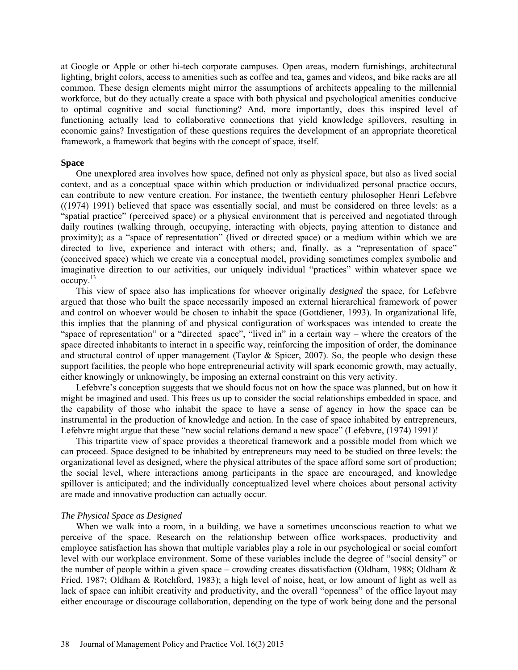at Google or Apple or other hi-tech corporate campuses. Open areas, modern furnishings, architectural lighting, bright colors, access to amenities such as coffee and tea, games and videos, and bike racks are all common. These design elements might mirror the assumptions of architects appealing to the millennial workforce, but do they actually create a space with both physical and psychological amenities conducive to optimal cognitive and social functioning? And, more importantly, does this inspired level of functioning actually lead to collaborative connections that yield knowledge spillovers, resulting in economic gains? Investigation of these questions requires the development of an appropriate theoretical framework, a framework that begins with the concept of space, itself.

#### **Space**

One unexplored area involves how space, defined not only as physical space, but also as lived social context, and as a conceptual space within which production or individualized personal practice occurs, can contribute to new venture creation. For instance, the twentieth century philosopher Henri Lefebvre ((1974) 1991) believed that space was essentially social, and must be considered on three levels: as a "spatial practice" (perceived space) or a physical environment that is perceived and negotiated through daily routines (walking through, occupying, interacting with objects, paying attention to distance and proximity); as a "space of representation" (lived or directed space) or a medium within which we are directed to live, experience and interact with others; and, finally, as a "representation of space" (conceived space) which we create via a conceptual model, providing sometimes complex symbolic and imaginative direction to our activities, our uniquely individual "practices" within whatever space we occupy.<sup>13</sup>

This view of space also has implications for whoever originally *designed* the space, for Lefebvre argued that those who built the space necessarily imposed an external hierarchical framework of power and control on whoever would be chosen to inhabit the space (Gottdiener, 1993). In organizational life, this implies that the planning of and physical configuration of workspaces was intended to create the "space of representation" or a "directed space", "lived in" in a certain way – where the creators of the space directed inhabitants to interact in a specific way, reinforcing the imposition of order, the dominance and structural control of upper management (Taylor & Spicer, 2007). So, the people who design these support facilities, the people who hope entrepreneurial activity will spark economic growth, may actually, either knowingly or unknowingly, be imposing an external constraint on this very activity.

Lefebvre's conception suggests that we should focus not on how the space was planned, but on how it might be imagined and used. This frees us up to consider the social relationships embedded in space, and the capability of those who inhabit the space to have a sense of agency in how the space can be instrumental in the production of knowledge and action. In the case of space inhabited by entrepreneurs, Lefebvre might argue that these "new social relations demand a new space" (Lefebvre, (1974) 1991)!

This tripartite view of space provides a theoretical framework and a possible model from which we can proceed. Space designed to be inhabited by entrepreneurs may need to be studied on three levels: the organizational level as designed, where the physical attributes of the space afford some sort of production; the social level, where interactions among participants in the space are encouraged, and knowledge spillover is anticipated; and the individually conceptualized level where choices about personal activity are made and innovative production can actually occur.

#### *The Physical Space as Designed*

When we walk into a room, in a building, we have a sometimes unconscious reaction to what we perceive of the space. Research on the relationship between office workspaces, productivity and employee satisfaction has shown that multiple variables play a role in our psychological or social comfort level with our workplace environment. Some of these variables include the degree of "social density" or the number of people within a given space – crowding creates dissatisfaction (Oldham, 1988; Oldham & Fried, 1987; Oldham & Rotchford, 1983); a high level of noise, heat, or low amount of light as well as lack of space can inhibit creativity and productivity, and the overall "openness" of the office layout may either encourage or discourage collaboration, depending on the type of work being done and the personal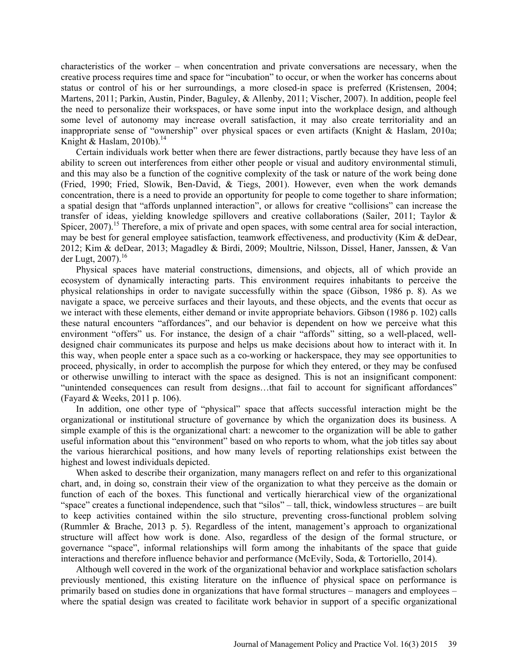characteristics of the worker – when concentration and private conversations are necessary, when the creative process requires time and space for "incubation" to occur, or when the worker has concerns about status or control of his or her surroundings, a more closed-in space is preferred (Kristensen, 2004; Martens, 2011; Parkin, Austin, Pinder, Baguley, & Allenby, 2011; Vischer, 2007). In addition, people feel the need to personalize their workspaces, or have some input into the workplace design, and although some level of autonomy may increase overall satisfaction, it may also create territoriality and an inappropriate sense of "ownership" over physical spaces or even artifacts (Knight & Haslam, 2010a; Knight & Haslam, 2010b). 14

Certain individuals work better when there are fewer distractions, partly because they have less of an ability to screen out interferences from either other people or visual and auditory environmental stimuli, and this may also be a function of the cognitive complexity of the task or nature of the work being done (Fried, 1990; Fried, Slowik, Ben-David, & Tiegs, 2001). However, even when the work demands concentration, there is a need to provide an opportunity for people to come together to share information; a spatial design that "affords unplanned interaction", or allows for creative "collisions" can increase the transfer of ideas, yielding knowledge spillovers and creative collaborations (Sailer, 2011; Taylor & Spicer, 2007).<sup>15</sup> Therefore, a mix of private and open spaces, with some central area for social interaction, may be best for general employee satisfaction, teamwork effectiveness, and productivity (Kim & deDear, 2012; Kim & deDear, 2013; Magadley & Birdi, 2009; Moultrie, Nilsson, Dissel, Haner, Janssen, & Van der Lugt, 2007). 16

Physical spaces have material constructions, dimensions, and objects, all of which provide an ecosystem of dynamically interacting parts. This environment requires inhabitants to perceive the physical relationships in order to navigate successfully within the space (Gibson, 1986 p. 8). As we navigate a space, we perceive surfaces and their layouts, and these objects, and the events that occur as we interact with these elements, either demand or invite appropriate behaviors. Gibson (1986 p. 102) calls these natural encounters "affordances", and our behavior is dependent on how we perceive what this environment "offers" us. For instance, the design of a chair "affords" sitting, so a well-placed, welldesigned chair communicates its purpose and helps us make decisions about how to interact with it. In this way, when people enter a space such as a co-working or hackerspace, they may see opportunities to proceed, physically, in order to accomplish the purpose for which they entered, or they may be confused or otherwise unwilling to interact with the space as designed. This is not an insignificant component: "unintended consequences can result from designs…that fail to account for significant affordances" (Fayard & Weeks, 2011 p. 106).

In addition, one other type of "physical" space that affects successful interaction might be the organizational or institutional structure of governance by which the organization does its business. A simple example of this is the organizational chart: a newcomer to the organization will be able to gather useful information about this "environment" based on who reports to whom, what the job titles say about the various hierarchical positions, and how many levels of reporting relationships exist between the highest and lowest individuals depicted.

When asked to describe their organization, many managers reflect on and refer to this organizational chart, and, in doing so, constrain their view of the organization to what they perceive as the domain or function of each of the boxes. This functional and vertically hierarchical view of the organizational "space" creates a functional independence, such that "silos" – tall, thick, windowless structures – are built to keep activities contained within the silo structure, preventing cross-functional problem solving (Rummler & Brache, 2013 p. 5). Regardless of the intent, management's approach to organizational structure will affect how work is done. Also, regardless of the design of the formal structure, or governance "space", informal relationships will form among the inhabitants of the space that guide interactions and therefore influence behavior and performance (McEvily, Soda, & Tortoriello, 2014).

Although well covered in the work of the organizational behavior and workplace satisfaction scholars previously mentioned, this existing literature on the influence of physical space on performance is primarily based on studies done in organizations that have formal structures – managers and employees – where the spatial design was created to facilitate work behavior in support of a specific organizational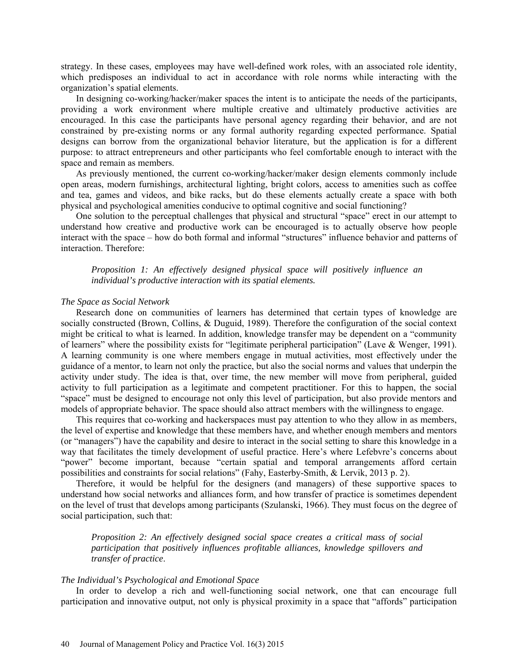strategy. In these cases, employees may have well-defined work roles, with an associated role identity, which predisposes an individual to act in accordance with role norms while interacting with the organization's spatial elements.

In designing co-working/hacker/maker spaces the intent is to anticipate the needs of the participants, providing a work environment where multiple creative and ultimately productive activities are encouraged. In this case the participants have personal agency regarding their behavior, and are not constrained by pre-existing norms or any formal authority regarding expected performance. Spatial designs can borrow from the organizational behavior literature, but the application is for a different purpose: to attract entrepreneurs and other participants who feel comfortable enough to interact with the space and remain as members.

As previously mentioned, the current co-working/hacker/maker design elements commonly include open areas, modern furnishings, architectural lighting, bright colors, access to amenities such as coffee and tea, games and videos, and bike racks, but do these elements actually create a space with both physical and psychological amenities conducive to optimal cognitive and social functioning?

One solution to the perceptual challenges that physical and structural "space" erect in our attempt to understand how creative and productive work can be encouraged is to actually observe how people interact with the space – how do both formal and informal "structures" influence behavior and patterns of interaction. Therefore:

*Proposition 1: An effectively designed physical space will positively influence an individual's productive interaction with its spatial elements.*

### *The Space as Social Network*

Research done on communities of learners has determined that certain types of knowledge are socially constructed (Brown, Collins, & Duguid, 1989). Therefore the configuration of the social context might be critical to what is learned. In addition, knowledge transfer may be dependent on a "community of learners" where the possibility exists for "legitimate peripheral participation" (Lave & Wenger, 1991). A learning community is one where members engage in mutual activities, most effectively under the guidance of a mentor, to learn not only the practice, but also the social norms and values that underpin the activity under study. The idea is that, over time, the new member will move from peripheral, guided activity to full participation as a legitimate and competent practitioner. For this to happen, the social "space" must be designed to encourage not only this level of participation, but also provide mentors and models of appropriate behavior. The space should also attract members with the willingness to engage.

This requires that co-working and hackerspaces must pay attention to who they allow in as members, the level of expertise and knowledge that these members have, and whether enough members and mentors (or "managers") have the capability and desire to interact in the social setting to share this knowledge in a way that facilitates the timely development of useful practice. Here's where Lefebvre's concerns about "power" become important, because "certain spatial and temporal arrangements afford certain possibilities and constraints for social relations" (Fahy, Easterby-Smith, & Lervik, 2013 p. 2).

Therefore, it would be helpful for the designers (and managers) of these supportive spaces to understand how social networks and alliances form, and how transfer of practice is sometimes dependent on the level of trust that develops among participants (Szulanski, 1966). They must focus on the degree of social participation, such that:

*Proposition 2: An effectively designed social space creates a critical mass of social participation that positively influences profitable alliances, knowledge spillovers and transfer of practice*.

#### *The Individual's Psychological and Emotional Space*

In order to develop a rich and well-functioning social network, one that can encourage full participation and innovative output, not only is physical proximity in a space that "affords" participation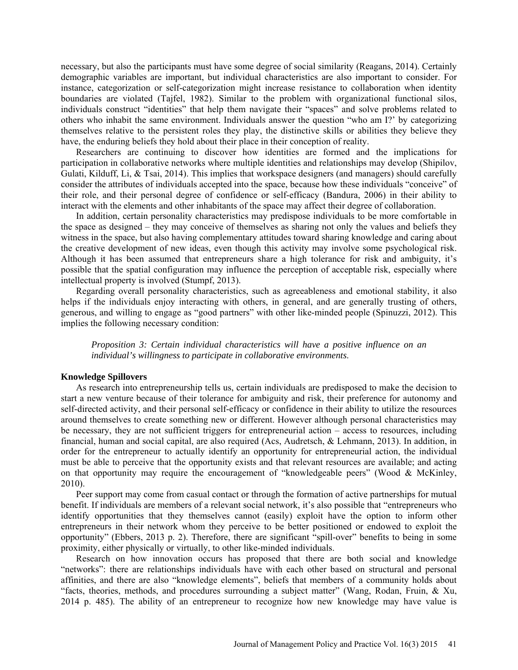necessary, but also the participants must have some degree of social similarity (Reagans, 2014). Certainly demographic variables are important, but individual characteristics are also important to consider. For instance, categorization or self-categorization might increase resistance to collaboration when identity boundaries are violated (Tajfel, 1982). Similar to the problem with organizational functional silos, individuals construct "identities" that help them navigate their "spaces" and solve problems related to others who inhabit the same environment. Individuals answer the question "who am I?' by categorizing themselves relative to the persistent roles they play, the distinctive skills or abilities they believe they have, the enduring beliefs they hold about their place in their conception of reality.

Researchers are continuing to discover how identities are formed and the implications for participation in collaborative networks where multiple identities and relationships may develop (Shipilov, Gulati, Kilduff, Li, & Tsai, 2014). This implies that workspace designers (and managers) should carefully consider the attributes of individuals accepted into the space, because how these individuals "conceive" of their role, and their personal degree of confidence or self-efficacy (Bandura, 2006) in their ability to interact with the elements and other inhabitants of the space may affect their degree of collaboration.

In addition, certain personality characteristics may predispose individuals to be more comfortable in the space as designed – they may conceive of themselves as sharing not only the values and beliefs they witness in the space, but also having complementary attitudes toward sharing knowledge and caring about the creative development of new ideas, even though this activity may involve some psychological risk. Although it has been assumed that entrepreneurs share a high tolerance for risk and ambiguity, it's possible that the spatial configuration may influence the perception of acceptable risk, especially where intellectual property is involved (Stumpf, 2013).

Regarding overall personality characteristics, such as agreeableness and emotional stability, it also helps if the individuals enjoy interacting with others, in general, and are generally trusting of others, generous, and willing to engage as "good partners" with other like-minded people (Spinuzzi, 2012). This implies the following necessary condition:

*Proposition 3: Certain individual characteristics will have a positive influence on an individual's willingness to participate in collaborative environments*.

#### **Knowledge Spillovers**

As research into entrepreneurship tells us, certain individuals are predisposed to make the decision to start a new venture because of their tolerance for ambiguity and risk, their preference for autonomy and self-directed activity, and their personal self-efficacy or confidence in their ability to utilize the resources around themselves to create something new or different. However although personal characteristics may be necessary, they are not sufficient triggers for entrepreneurial action – access to resources, including financial, human and social capital, are also required (Acs, Audretsch, & Lehmann, 2013). In addition, in order for the entrepreneur to actually identify an opportunity for entrepreneurial action, the individual must be able to perceive that the opportunity exists and that relevant resources are available; and acting on that opportunity may require the encouragement of "knowledgeable peers" (Wood & McKinley, 2010).

Peer support may come from casual contact or through the formation of active partnerships for mutual benefit. If individuals are members of a relevant social network, it's also possible that "entrepreneurs who identify opportunities that they themselves cannot (easily) exploit have the option to inform other entrepreneurs in their network whom they perceive to be better positioned or endowed to exploit the opportunity" (Ebbers, 2013 p. 2). Therefore, there are significant "spill-over" benefits to being in some proximity, either physically or virtually, to other like-minded individuals.

Research on how innovation occurs has proposed that there are both social and knowledge "networks": there are relationships individuals have with each other based on structural and personal affinities, and there are also "knowledge elements", beliefs that members of a community holds about "facts, theories, methods, and procedures surrounding a subject matter" (Wang, Rodan, Fruin, & Xu, 2014 p. 485). The ability of an entrepreneur to recognize how new knowledge may have value is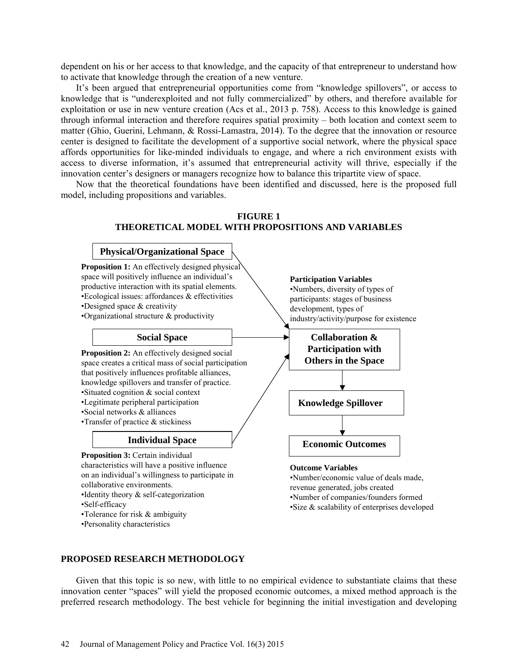dependent on his or her access to that knowledge, and the capacity of that entrepreneur to understand how to activate that knowledge through the creation of a new venture.

It's been argued that entrepreneurial opportunities come from "knowledge spillovers", or access to knowledge that is "underexploited and not fully commercialized" by others, and therefore available for exploitation or use in new venture creation (Acs et al., 2013 p. 758). Access to this knowledge is gained through informal interaction and therefore requires spatial proximity – both location and context seem to matter (Ghio, Guerini, Lehmann, & Rossi-Lamastra, 2014). To the degree that the innovation or resource center is designed to facilitate the development of a supportive social network, where the physical space affords opportunities for like-minded individuals to engage, and where a rich environment exists with access to diverse information, it's assumed that entrepreneurial activity will thrive, especially if the innovation center's designers or managers recognize how to balance this tripartite view of space.

Now that the theoretical foundations have been identified and discussed, here is the proposed full model, including propositions and variables.



## **PROPOSED RESEARCH METHODOLOGY**

Given that this topic is so new, with little to no empirical evidence to substantiate claims that these innovation center "spaces" will yield the proposed economic outcomes, a mixed method approach is the preferred research methodology. The best vehicle for beginning the initial investigation and developing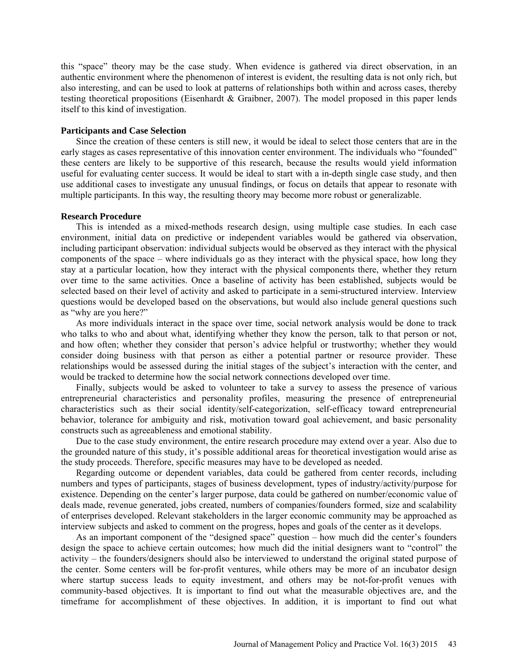this "space" theory may be the case study. When evidence is gathered via direct observation, in an authentic environment where the phenomenon of interest is evident, the resulting data is not only rich, but also interesting, and can be used to look at patterns of relationships both within and across cases, thereby testing theoretical propositions (Eisenhardt & Graibner, 2007). The model proposed in this paper lends itself to this kind of investigation.

## **Participants and Case Selection**

Since the creation of these centers is still new, it would be ideal to select those centers that are in the early stages as cases representative of this innovation center environment. The individuals who "founded" these centers are likely to be supportive of this research, because the results would yield information useful for evaluating center success. It would be ideal to start with a in-depth single case study, and then use additional cases to investigate any unusual findings, or focus on details that appear to resonate with multiple participants. In this way, the resulting theory may become more robust or generalizable.

#### **Research Procedure**

This is intended as a mixed-methods research design, using multiple case studies. In each case environment, initial data on predictive or independent variables would be gathered via observation, including participant observation: individual subjects would be observed as they interact with the physical components of the space – where individuals go as they interact with the physical space, how long they stay at a particular location, how they interact with the physical components there, whether they return over time to the same activities. Once a baseline of activity has been established, subjects would be selected based on their level of activity and asked to participate in a semi-structured interview. Interview questions would be developed based on the observations, but would also include general questions such as "why are you here?"

As more individuals interact in the space over time, social network analysis would be done to track who talks to who and about what, identifying whether they know the person, talk to that person or not, and how often; whether they consider that person's advice helpful or trustworthy; whether they would consider doing business with that person as either a potential partner or resource provider. These relationships would be assessed during the initial stages of the subject's interaction with the center, and would be tracked to determine how the social network connections developed over time.

Finally, subjects would be asked to volunteer to take a survey to assess the presence of various entrepreneurial characteristics and personality profiles, measuring the presence of entrepreneurial characteristics such as their social identity/self-categorization, self-efficacy toward entrepreneurial behavior, tolerance for ambiguity and risk, motivation toward goal achievement, and basic personality constructs such as agreeableness and emotional stability.

Due to the case study environment, the entire research procedure may extend over a year. Also due to the grounded nature of this study, it's possible additional areas for theoretical investigation would arise as the study proceeds. Therefore, specific measures may have to be developed as needed.

Regarding outcome or dependent variables, data could be gathered from center records, including numbers and types of participants, stages of business development, types of industry/activity/purpose for existence. Depending on the center's larger purpose, data could be gathered on number/economic value of deals made, revenue generated, jobs created, numbers of companies/founders formed, size and scalability of enterprises developed. Relevant stakeholders in the larger economic community may be approached as interview subjects and asked to comment on the progress, hopes and goals of the center as it develops.

As an important component of the "designed space" question – how much did the center's founders design the space to achieve certain outcomes; how much did the initial designers want to "control" the activity – the founders/designers should also be interviewed to understand the original stated purpose of the center. Some centers will be for-profit ventures, while others may be more of an incubator design where startup success leads to equity investment, and others may be not-for-profit venues with community-based objectives. It is important to find out what the measurable objectives are, and the timeframe for accomplishment of these objectives. In addition, it is important to find out what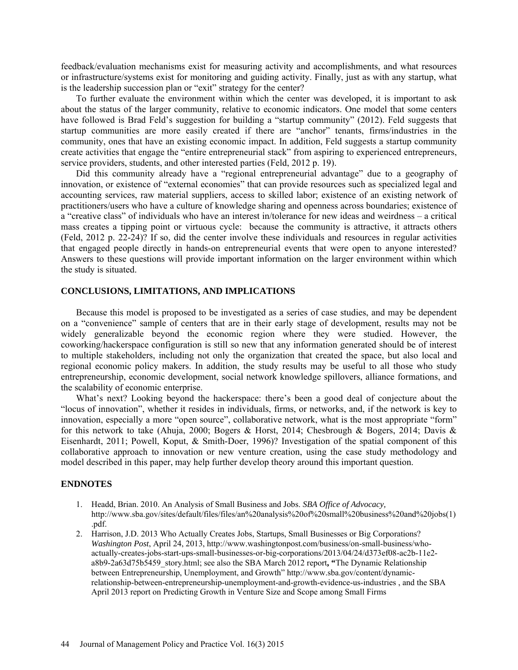feedback/evaluation mechanisms exist for measuring activity and accomplishments, and what resources or infrastructure/systems exist for monitoring and guiding activity. Finally, just as with any startup, what is the leadership succession plan or "exit" strategy for the center?

To further evaluate the environment within which the center was developed, it is important to ask about the status of the larger community, relative to economic indicators. One model that some centers have followed is Brad Feld's suggestion for building a "startup community" (2012). Feld suggests that startup communities are more easily created if there are "anchor" tenants, firms/industries in the community, ones that have an existing economic impact. In addition, Feld suggests a startup community create activities that engage the "entire entrepreneurial stack" from aspiring to experienced entrepreneurs, service providers, students, and other interested parties (Feld, 2012 p. 19).

Did this community already have a "regional entrepreneurial advantage" due to a geography of innovation, or existence of "external economies" that can provide resources such as specialized legal and accounting services, raw material suppliers, access to skilled labor; existence of an existing network of practitioners/users who have a culture of knowledge sharing and openness across boundaries; existence of a "creative class" of individuals who have an interest in/tolerance for new ideas and weirdness – a critical mass creates a tipping point or virtuous cycle: because the community is attractive, it attracts others (Feld, 2012 p. 22-24)? If so, did the center involve these individuals and resources in regular activities that engaged people directly in hands-on entrepreneurial events that were open to anyone interested? Answers to these questions will provide important information on the larger environment within which the study is situated.

#### **CONCLUSIONS, LIMITATIONS, AND IMPLICATIONS**

Because this model is proposed to be investigated as a series of case studies, and may be dependent on a "convenience" sample of centers that are in their early stage of development, results may not be widely generalizable beyond the economic region where they were studied. However, the coworking/hackerspace configuration is still so new that any information generated should be of interest to multiple stakeholders, including not only the organization that created the space, but also local and regional economic policy makers. In addition, the study results may be useful to all those who study entrepreneurship, economic development, social network knowledge spillovers, alliance formations, and the scalability of economic enterprise.

What's next? Looking beyond the hackerspace: there's been a good deal of conjecture about the "locus of innovation", whether it resides in individuals, firms, or networks, and, if the network is key to innovation, especially a more "open source", collaborative network, what is the most appropriate "form" for this network to take (Ahuja, 2000; Bogers & Horst, 2014; Chesbrough & Bogers, 2014; Davis & Eisenhardt, 2011; Powell, Koput, & Smith-Doer, 1996)? Investigation of the spatial component of this collaborative approach to innovation or new venture creation, using the case study methodology and model described in this paper, may help further develop theory around this important question.

## **ENDNOTES**

- 1. Headd, Brian. 2010. An Analysis of Small Business and Jobs. *SBA Office of Advocacy,*  [http://www.sba.gov/sites/default/files/files/an%20analysis%20of%20small%20business%20and%20jobs\(1\)](http://www.sba.gov/sites/default/files/files/an%20analysis%20of%20small%20business%20and%20jobs%281%29.pdf) [.pdf.](http://www.sba.gov/sites/default/files/files/an%20analysis%20of%20small%20business%20and%20jobs%281%29.pdf)
- 2. Harrison, J.D. 2013 Who Actually Creates Jobs, Startups, Small Businesses or Big Corporations? *Washington Post*, April 24, 2013[, http://www.washingtonpost.com/business/on-small-business/who](http://www.washingtonpost.com/business/on-small-business/who-actually-creates-jobs-start-ups-small-businesses-or-big-corporations/2013/04/24/d373ef08-ac2b-11e2-a8b9-2a63d75b5459_story.html)[actually-creates-jobs-start-ups-small-businesses-or-big-corporations/2013/04/24/d373ef08-ac2b-11e2](http://www.washingtonpost.com/business/on-small-business/who-actually-creates-jobs-start-ups-small-businesses-or-big-corporations/2013/04/24/d373ef08-ac2b-11e2-a8b9-2a63d75b5459_story.html) [a8b9-2a63d75b5459\\_story.html;](http://www.washingtonpost.com/business/on-small-business/who-actually-creates-jobs-start-ups-small-businesses-or-big-corporations/2013/04/24/d373ef08-ac2b-11e2-a8b9-2a63d75b5459_story.html) see also the SBA March 2012 report**, "**The Dynamic Relationship between Entrepreneurship, Unemployment, and Growth" [http://www.sba.gov/content/dynamic](http://www.sba.gov/content/dynamic-relationship-between-entrepreneurship-unemployment-and-growth-evidence-us-industries)[relationship-between-entrepreneurship-unemployment-and-growth-evidence-us-industries](http://www.sba.gov/content/dynamic-relationship-between-entrepreneurship-unemployment-and-growth-evidence-us-industries) , and the SBA April 2013 report on Predicting Growth in Venture Size and Scope among Small Firms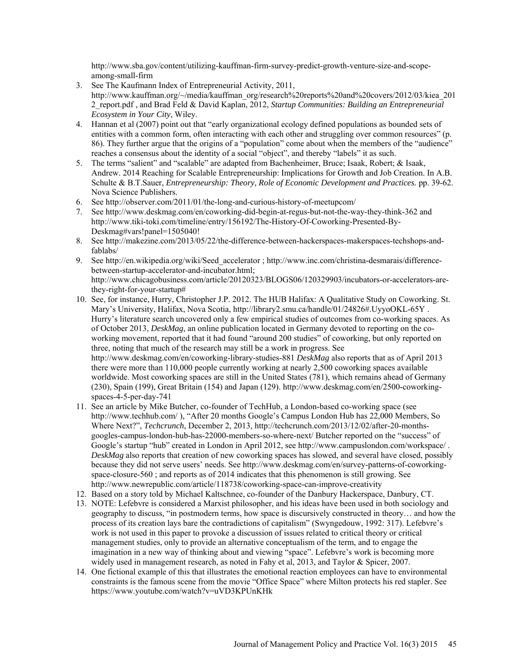[http://www.sba.gov/content/utilizing-kauffman-firm-survey-predict-growth-venture-size-and-scope](http://www.sba.gov/content/utilizing-kauffman-firm-survey-predict-growth-venture-size-and-scope-among-small-firm)[among-small-firm](http://www.sba.gov/content/utilizing-kauffman-firm-survey-predict-growth-venture-size-and-scope-among-small-firm) 

- 3. See The Kaufmann Index of Entrepreneurial Activity, 2011, [http://www.kauffman.org/~/media/kauffman\\_org/research%20reports%20and%20covers/2012/03/kiea\\_201](http://www.kauffman.org/~/media/kauffman_org/research%20reports%20and%20covers/2012/03/kiea_2012_report.pdf) [2\\_report.pdf](http://www.kauffman.org/~/media/kauffman_org/research%20reports%20and%20covers/2012/03/kiea_2012_report.pdf) , and Brad Feld & David Kaplan, 2012, *Startup Communities: Building an Entrepreneurial Ecosystem in Your City*, Wiley.
- 4. Hannan et al (2007) point out that "early organizational ecology defined populations as bounded sets of entities with a common form, often interacting with each other and struggling over common resources" (p. 86). They further argue that the origins of a "population" come about when the members of the "audience" reaches a consensus about the identity of a social "object", and thereby "labels" it as such.
- 5. The terms "salient" and "scalable" are adapted from Bachenheimer, Bruce; Isaak, Robert; & Isaak, Andrew. 2014 Reaching for Scalable Entrepreneurship: Implications for Growth and Job Creation. In A.B. Schulte & B.T.Sauer, *Entrepreneurship: Theory, Role of Economic Development and Practices.* pp. 39-62. Nova Science Publishers.
- 6. See<http://observer.com/2011/01/the-long-and-curious-history-of-meetupcom/>
- 7. See<http://www.deskmag.com/en/coworking-did-begin-at-regus-but-not-the-way-they-think-362> and [http://www.tiki-toki.com/timeline/entry/156192/The-History-Of-Coworking-Presented-By-](http://www.tiki-toki.com/timeline/entry/156192/The-History-Of-Coworking-Presented-By-Deskmag#vars!panel=1505040)[Deskmag#vars!panel=1505040!](http://www.tiki-toki.com/timeline/entry/156192/The-History-Of-Coworking-Presented-By-Deskmag#vars!panel=1505040)
- 8. See [http://makezine.com/2013/05/22/the-difference-between-hackerspaces-makerspaces-techshops-and](http://makezine.com/2013/05/22/the-difference-between-hackerspaces-makerspaces-techshops-and-fablabs/)[fablabs/](http://makezine.com/2013/05/22/the-difference-between-hackerspaces-makerspaces-techshops-and-fablabs/)
- 9. See [http://en.wikipedia.org/wiki/Seed\\_accelerator](http://en.wikipedia.org/wiki/Seed_accelerator) ; [http://www.inc.com/christina-desmarais/difference](http://www.inc.com/christina-desmarais/difference-between-startup-accelerator-and-incubator.html)[between-startup-accelerator-and-incubator.html;](http://www.inc.com/christina-desmarais/difference-between-startup-accelerator-and-incubator.html) [http://www.chicagobusiness.com/article/20120323/BLOGS06/120329903/incubators-or-accelerators-are](http://www.chicagobusiness.com/article/20120323/BLOGS06/120329903/incubators-or-accelerators-are-they-right-for-your-startup)[they-right-for-your-startup#](http://www.chicagobusiness.com/article/20120323/BLOGS06/120329903/incubators-or-accelerators-are-they-right-for-your-startup)
- 10. See, for instance, Hurry, Christopher J.P. 2012. The HUB Halifax: A Qualitative Study on Coworking. St. Mary's University, Halifax, Nova Scotia[, http://library2.smu.ca/handle/01/24826#.UyyoOKL-65Y](http://library2.smu.ca/handle/01/24826#.UyyoOKL-65Y). Hurry's literature search uncovered only a few empirical studies of outcomes from co-working spaces. As of October 2013, *DeskMag*, an online publication located in Germany devoted to reporting on the coworking movement, reported that it had found "around 200 studies" of coworking, but only reported on three, noting that much of the research may still be a work in progress. See <http://www.deskmag.com/en/coworking-library-studies-881> *DeskMag* also reports that as of April 2013 there were more than 110,000 people currently working at nearly 2,500 coworking spaces available worldwide. Most coworking spaces are still in the United States (781), which remains ahead of Germany (230), Spain (199), Great Britain (154) and Japan (129). [http://www.deskmag.com/en/2500-coworking](http://www.deskmag.com/en/2500-coworking-spaces-4-5-per-day-741)[spaces-4-5-per-day-741](http://www.deskmag.com/en/2500-coworking-spaces-4-5-per-day-741)
- 11. See an article by Mike Butcher, co-founder of TechHub, a London-based co-working space (see <http://www.techhub.com/> ), "After 20 months Google's Campus London Hub has 22,000 Members, So Where Next?", *Techcrunch*, December 2, 2013, [http://techcrunch.com/2013/12/02/after-20-months](http://techcrunch.com/2013/12/02/after-20-months-googles-campus-london-hub-has-22000-members-so-where-next/)[googles-campus-london-hub-has-22000-members-so-where-next/](http://techcrunch.com/2013/12/02/after-20-months-googles-campus-london-hub-has-22000-members-so-where-next/) Butcher reported on the "success" of Google's startup "hub" created in London in April 2012, see<http://www.campuslondon.com/workspace/> . *DeskMag* also reports that creation of new coworking spaces has slowed, and several have closed, possibly because they did not serve users' needs. See [http://www.deskmag.com/en/survey-patterns-of-coworking](http://www.deskmag.com/en/survey-patterns-of-coworking-space-closure-560)[space-closure-560](http://www.deskmag.com/en/survey-patterns-of-coworking-space-closure-560) ; and reports as of 2014 indicates that this phenomenon is still growing. See <http://www.newrepublic.com/article/118738/coworking-space-can-improve-creativity>
- 12. Based on a story told by Michael Kaltschnee, co-founder of the Danbury Hackerspace, Danbury, CT.
- 13. NOTE: Lefebvre is considered a Marxist philosopher, and his ideas have been used in both sociology and geography to discuss, "in postmodern terms, how space is discursively constructed in theory… and how the process of its creation lays bare the contradictions of capitalism" (Swyngedouw, 1992: 317). Lefebvre's work is not used in this paper to provoke a discussion of issues related to critical theory or critical management studies, only to provide an alternative conceptualism of the term, and to engage the imagination in a new way of thinking about and viewing "space". Lefebvre's work is becoming more widely used in management research, as noted in Fahy et al, 2013, and Taylor & Spicer, 2007.
- 14. One fictional example of this that illustrates the emotional reaction employees can have to environmental constraints is the famous scene from the movie "Office Space" where Milton protects his red stapler. See <https://www.youtube.com/watch?v=uVD3KPUnKHk>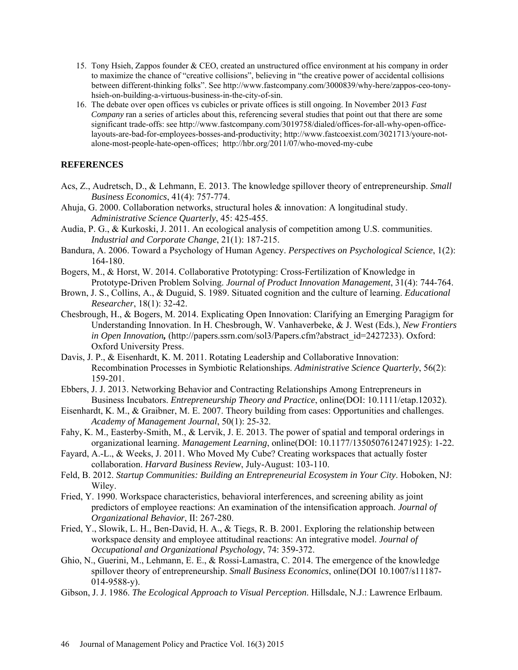- 15. Tony Hsieh, Zappos founder & CEO, created an unstructured office environment at his company in order to maximize the chance of "creative collisions", believing in "the creative power of accidental collisions between different-thinking folks". See [http://www.fastcompany.com/3000839/why-here/zappos-ceo-tony](http://www.fastcompany.com/3000839/why-here/zappos-ceo-tony-hsieh-on-building-a-virtuous-business-in-the-city-of-sin)[hsieh-on-building-a-virtuous-business-in-the-city-of-sin.](http://www.fastcompany.com/3000839/why-here/zappos-ceo-tony-hsieh-on-building-a-virtuous-business-in-the-city-of-sin)
- 16. The debate over open offices vs cubicles or private offices is still ongoing. In November 2013 *Fast Company* ran a series of articles about this, referencing several studies that point out that there are some significant trade-offs: see [http://www.fastcompany.com/3019758/dialed/offices-for-all-why-open-office](http://www.fastcompany.com/3019758/dialed/offices-for-all-why-open-office-layouts-are-bad-for-employees-bosses-and-productivity)[layouts-are-bad-for-employees-bosses-and-productivity;](http://www.fastcompany.com/3019758/dialed/offices-for-all-why-open-office-layouts-are-bad-for-employees-bosses-and-productivity) [http://www.fastcoexist.com/3021713/youre-not](http://www.fastcoexist.com/3021713/youre-not-alone-most-people-hate-open-offices)[alone-most-people-hate-open-offices;](http://www.fastcoexist.com/3021713/youre-not-alone-most-people-hate-open-offices) <http://hbr.org/2011/07/who-moved-my-cube>

## **REFERENCES**

- Acs, Z., Audretsch, D., & Lehmann, E. 2013. The knowledge spillover theory of entrepreneurship. *Small Business Economics*, 41(4): 757-774.
- Ahuja, G. 2000. Collaboration networks, structural holes & innovation: A longitudinal study. *Administrative Science Quarterly*, 45: 425-455.
- Audia, P. G., & Kurkoski, J. 2011. An ecological analysis of competition among U.S. communities. *Industrial and Corporate Change*, 21(1): 187-215.
- Bandura, A. 2006. Toward a Psychology of Human Agency. *Perspectives on Psychological Science*, 1(2): 164-180.
- Bogers, M., & Horst, W. 2014. Collaborative Prototyping: Cross-Fertilization of Knowledge in Prototype-Driven Problem Solving. *Journal of Product Innovation Management*, 31(4): 744-764.
- Brown, J. S., Collins, A., & Duguid, S. 1989. Situated cognition and the culture of learning. *Educational Researcher*, 18(1): 32-42.
- Chesbrough, H., & Bogers, M. 2014. Explicating Open Innovation: Clarifying an Emerging Paragigm for Understanding Innovation. In H. Chesbrough, W. Vanhaverbeke, & J. West (Eds.), *New Frontiers in Open Innovation*, (http://papers.ssrn.com/sol3/Papers.cfm?abstract\_id=2427233). Oxford: Oxford University Press.
- Davis, J. P., & Eisenhardt, K. M. 2011. Rotating Leadership and Collaborative Innovation: Recombination Processes in Symbiotic Relationships. *Administrative Science Quarterly*, 56(2): 159-201.
- Ebbers, J. J. 2013. Networking Behavior and Contracting Relationships Among Entrepreneurs in Business Incubators. *Entrepreneurship Theory and Practice*, online(DOI: 10.1111/etap.12032).
- Eisenhardt, K. M., & Graibner, M. E. 2007. Theory building from cases: Opportunities and challenges. *Academy of Management Journal*, 50(1): 25-32.
- Fahy, K. M., Easterby-Smith, M., & Lervik, J. E. 2013. The power of spatial and temporal orderings in organizational learning. *Management Learning*, online(DOI: 10.1177/1350507612471925): 1-22.
- Fayard, A.-L., & Weeks, J. 2011. Who Moved My Cube? Creating workspaces that actually foster collaboration. *Harvard Business Review*, July-August: 103-110.
- Feld, B. 2012. *Startup Communities: Building an Entrepreneurial Ecosystem in Your City*. Hoboken, NJ: Wiley.
- Fried, Y. 1990. Workspace characteristics, behavioral interferences, and screening ability as joint predictors of employee reactions: An examination of the intensification approach. *Journal of Organizational Behavior*, II: 267-280.
- Fried, Y., Slowik, L. H., Ben-David, H. A., & Tiegs, R. B. 2001. Exploring the relationship between workspace density and employee attitudinal reactions: An integrative model. *Journal of Occupational and Organizational Psychology*, 74: 359-372.
- Ghio, N., Guerini, M., Lehmann, E. E., & Rossi-Lamastra, C. 2014. The emergence of the knowledge spillover theory of entrepreneurship. *Small Business Economics*, online(DOI 10.1007/s11187- 014-9588-y).
- Gibson, J. J. 1986. *The Ecological Approach to Visual Perception*. Hillsdale, N.J.: Lawrence Erlbaum.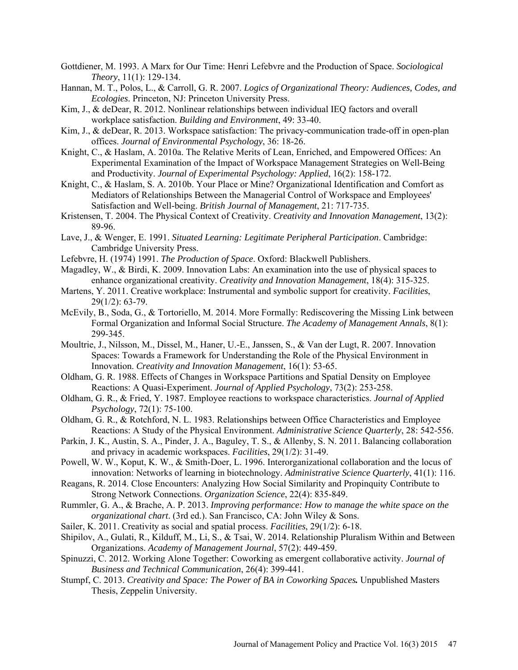- Gottdiener, M. 1993. A Marx for Our Time: Henri Lefebvre and the Production of Space. *Sociological Theory*, 11(1): 129-134.
- Hannan, M. T., Polos, L., & Carroll, G. R. 2007. *Logics of Organizational Theory: Audiences, Codes, and Ecologies*. Princeton, NJ: Princeton University Press.
- Kim, J., & deDear, R. 2012. Nonlinear relationships between individual IEQ factors and overall workplace satisfaction. *Building and Environment*, 49: 33-40.
- Kim, J., & deDear, R. 2013. Workspace satisfaction: The privacy-communication trade-off in open-plan offices. *Journal of Environmental Psychology*, 36: 18-26.
- Knight, C., & Haslam, A. 2010a. The Relative Merits of Lean, Enriched, and Empowered Offices: An Experimental Examination of the Impact of Workspace Management Strategies on Well-Being and Productivity. *Journal of Experimental Psychology: Applied*, 16(2): 158-172.
- Knight, C., & Haslam, S. A. 2010b. Your Place or Mine? Organizational Identification and Comfort as Mediators of Relationships Between the Managerial Control of Workspace and Employees' Satisfaction and Well-being. *British Journal of Management*, 21: 717-735.
- Kristensen, T. 2004. The Physical Context of Creativity. *Creativity and Innovation Management*, 13(2): 89-96.
- Lave, J., & Wenger, E. 1991. *Situated Learning: Legitimate Peripheral Participation*. Cambridge: Cambridge University Press.
- Lefebvre, H. (1974) 1991. *The Production of Space*. Oxford: Blackwell Publishers.
- Magadley, W., & Birdi, K. 2009. Innovation Labs: An examination into the use of physical spaces to enhance organizational creativity. *Creativity and Innovation Management*, 18(4): 315-325.
- Martens, Y. 2011. Creative workplace: Instrumental and symbolic support for creativity. *Facilities*, 29(1/2): 63-79.
- McEvily, B., Soda, G., & Tortoriello, M. 2014. More Formally: Rediscovering the Missing Link between Formal Organization and Informal Social Structure. *The Academy of Management Annals*, 8(1): 299-345.
- Moultrie, J., Nilsson, M., Dissel, M., Haner, U.-E., Janssen, S., & Van der Lugt, R. 2007. Innovation Spaces: Towards a Framework for Understanding the Role of the Physical Environment in Innovation. *Creativity and Innovation Management*, 16(1): 53-65.
- Oldham, G. R. 1988. Effects of Changes in Workspace Partitions and Spatial Density on Employee Reactions: A Quasi-Experiment. *Journal of Applied Psychology*, 73(2): 253-258.
- Oldham, G. R., & Fried, Y. 1987. Employee reactions to workspace characteristics. *Journal of Applied Psychology*, 72(1): 75-100.
- Oldham, G. R., & Rotchford, N. L. 1983. Relationships between Office Characteristics and Employee Reactions: A Study of the Physical Environment. *Administrative Science Quarterly*, 28: 542-556.
- Parkin, J. K., Austin, S. A., Pinder, J. A., Baguley, T. S., & Allenby, S. N. 2011. Balancing collaboration and privacy in academic workspaces. *Facilities*, 29(1/2): 31-49.
- Powell, W. W., Koput, K. W., & Smith-Doer, L. 1996. Interorganizational collaboration and the locus of innovation: Networks of learning in biotechnology. *Administrative Science Quarterly*, 41(1): 116.
- Reagans, R. 2014. Close Encounters: Analyzing How Social Similarity and Propinquity Contribute to Strong Network Connections. *Organization Science*, 22(4): 835-849.
- Rummler, G. A., & Brache, A. P. 2013. *Improving performance: How to manage the white space on the organizational chart*. (3rd ed.). San Francisco, CA: John Wiley & Sons.
- Sailer, K. 2011. Creativity as social and spatial process. *Facilities*, 29(1/2): 6-18.
- Shipilov, A., Gulati, R., Kilduff, M., Li, S., & Tsai, W. 2014. Relationship Pluralism Within and Between Organizations. *Academy of Management Journal*, 57(2): 449-459.
- Spinuzzi, C. 2012. Working Alone Together: Coworking as emergent collaborative activity. *Journal of Business and Technical Communication*, 26(4): 399-441.
- Stumpf, C. 2013. *Creativity and Space: The Power of BA in Coworking Spaces.* Unpublished Masters Thesis, Zeppelin University.